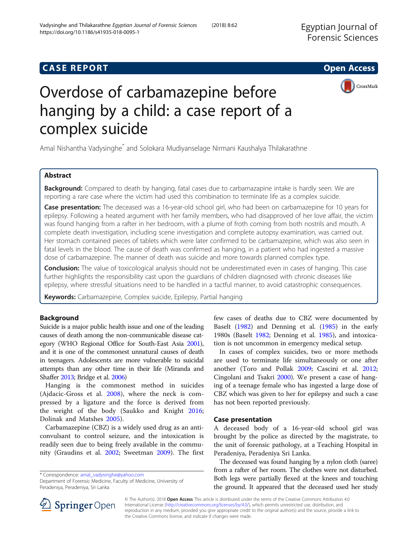## **CASE REPORT CASE REPORT CASE REPORT**



# Overdose of carbamazepine before hanging by a child: a case report of a complex suicide

Amal Nishantha Vadysinghe\* and Solokara Mudiyanselage Nirmani Kaushalya Thilakarathne

## Abstract

Background: Compared to death by hanging, fatal cases due to carbamazapine intake is hardly seen. We are reporting a rare case where the victim had used this combination to terminate life as a complex suicide.

Case presentation: The deceased was a 16-year-old school girl, who had been on carbamazepine for 10 years for epilepsy. Following a heated argument with her family members, who had disapproved of her love affair, the victim was found hanging from a rafter in her bedroom, with a plume of froth coming from both nostrils and mouth. A complete death investigation, including scene investigation and complete autopsy examination, was carried out. Her stomach contained pieces of tablets which were later confirmed to be carbamazepine, which was also seen in fatal levels in the blood. The cause of death was confirmed as hanging, in a patient who had ingested a massive dose of carbamazepine. The manner of death was suicide and more towards planned complex type.

Conclusion: The value of toxicological analysis should not be underestimated even in cases of hanging. This case further highlights the responsibility cast upon the guardians of children diagnosed with chronic diseases like epilepsy, where stressful situations need to be handled in a tactful manner, to avoid catastrophic consequences.

Keywords: Carbamazepine, Complex suicide, Epilepsy, Partial hanging

## Background

Suicide is a major public health issue and one of the leading causes of death among the non-communicable disease category (WHO Regional Office for South-East Asia [2001](#page-4-0)), and it is one of the commonest unnatural causes of death in teenagers. Adolescents are more vulnerable to suicidal attempts than any other time in their life (Miranda and Shaffer [2013](#page-4-0); Bridge et al. [2006\)](#page-4-0)

Hanging is the commonest method in suicides (Ajdacic-Gross et al. [2008\)](#page-4-0), where the neck is compressed by a ligature and the force is derived from the weight of the body (Saukko and Knight [2016](#page-4-0); Dolinak and Matshes [2005](#page-4-0)).

Carbamazepine (CBZ) is a widely used drug as an anticonvulsant to control seizure, and the intoxication is readily seen due to being freely available in the community (Graudins et al. [2002](#page-4-0); Sweetman [2009\)](#page-4-0). The first

\* Correspondence: [amal\\_vadysinghe@yahoo.com](mailto:amal_vadysinghe@yahoo.com)

Department of Forensic Medicine, Faculty of Medicine, University of Peradeniya, Peradeniya, Sri Lanka

few cases of deaths due to CBZ were documented by Baselt ([1982\)](#page-4-0) and Denning et al. ([1985](#page-4-0)) in the early 1980s (Baselt [1982;](#page-4-0) Denning et al. [1985\)](#page-4-0), and intoxication is not uncommon in emergency medical setup.

In cases of complex suicides, two or more methods are used to terminate life simultaneously or one after another (Toro and Pollak [2009;](#page-4-0) Cascini et al. [2012](#page-4-0); Cingolani and Tsakri [2000](#page-4-0)). We present a case of hanging of a teenage female who has ingested a large dose of CBZ which was given to her for epilepsy and such a case has not been reported previously.

## Case presentation

A deceased body of a 16-year-old school girl was brought by the police as directed by the magistrate, to the unit of forensic pathology, at a Teaching Hospital in Peradeniya, Peradeniya Sri Lanka.

The deceased was found hanging by a nylon cloth (saree) from a rafter of her room. The clothes were not disturbed. Both legs were partially flexed at the knees and touching the ground. It appeared that the deceased used her study



© The Author(s). 2018 Open Access This article is distributed under the terms of the Creative Commons Attribution 4.0 International License ([http://creativecommons.org/licenses/by/4.0/\)](http://creativecommons.org/licenses/by/4.0/), which permits unrestricted use, distribution, and reproduction in any medium, provided you give appropriate credit to the original author(s) and the source, provide a link to the Creative Commons license, and indicate if changes were made.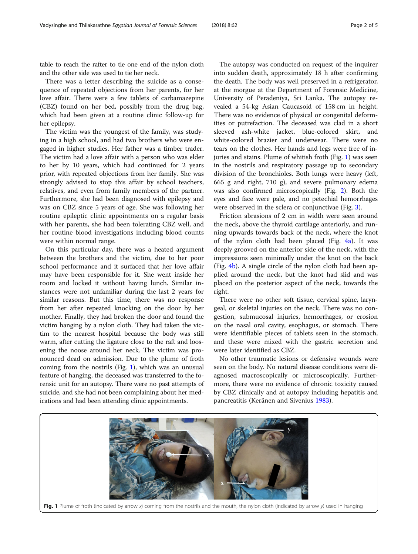table to reach the rafter to tie one end of the nylon cloth and the other side was used to tie her neck.

There was a letter describing the suicide as a consequence of repeated objections from her parents, for her love affair. There were a few tablets of carbamazepine (CBZ) found on her bed, possibly from the drug bag, which had been given at a routine clinic follow-up for her epilepsy.

The victim was the youngest of the family, was studying in a high school, and had two brothers who were engaged in higher studies. Her father was a timber trader. The victim had a love affair with a person who was elder to her by 10 years, which had continued for 2 years prior, with repeated objections from her family. She was strongly advised to stop this affair by school teachers, relatives, and even from family members of the partner. Furthermore, she had been diagnosed with epilepsy and was on CBZ since 5 years of age. She was following her routine epileptic clinic appointments on a regular basis with her parents, she had been tolerating CBZ well, and her routine blood investigations including blood counts were within normal range.

On this particular day, there was a heated argument between the brothers and the victim, due to her poor school performance and it surfaced that her love affair may have been responsible for it. She went inside her room and locked it without having lunch. Similar instances were not unfamiliar during the last 2 years for similar reasons. But this time, there was no response from her after repeated knocking on the door by her mother. Finally, they had broken the door and found the victim hanging by a nylon cloth. They had taken the victim to the nearest hospital because the body was still warm, after cutting the ligature close to the raft and loosening the noose around her neck. The victim was pronounced dead on admission. Due to the plume of froth coming from the nostrils (Fig. 1), which was an unusual feature of hanging, the deceased was transferred to the forensic unit for an autopsy. There were no past attempts of suicide, and she had not been complaining about her medications and had been attending clinic appointments.

The autopsy was conducted on request of the inquirer into sudden death, approximately 18 h after confirming the death. The body was well preserved in a refrigerator, at the morgue at the Department of Forensic Medicine, University of Peradeniya, Sri Lanka. The autopsy revealed a 54-kg Asian Caucasoid of 158 cm in height. There was no evidence of physical or congenital deformities or putrefaction. The deceased was clad in a short sleeved ash-white jacket, blue-colored skirt, and white-colored brazier and underwear. There were no tears on the clothes. Her hands and legs were free of injuries and stains. Plume of whitish froth (Fig. 1) was seen in the nostrils and respiratory passage up to secondary division of the bronchioles. Both lungs were heavy (left, 665 g and right, 710 g), and severe pulmonary edema was also confirmed microscopically (Fig. [2](#page-2-0)). Both the eyes and face were pale, and no petechial hemorrhages were observed in the sclera or conjunctivae (Fig. [3](#page-2-0)).

Friction abrasions of 2 cm in width were seen around the neck, above the thyroid cartilage anteriorly, and running upwards towards back of the neck, where the knot of the nylon cloth had been placed (Fig.  $4a$ ). It was deeply grooved on the anterior side of the neck, with the impressions seen minimally under the knot on the back (Fig. [4b\)](#page-3-0). A single circle of the nylon cloth had been applied around the neck, but the knot had slid and was placed on the posterior aspect of the neck, towards the right.

There were no other soft tissue, cervical spine, laryngeal, or skeletal injuries on the neck. There was no congestion, submucosal injuries, hemorrhages, or erosion on the nasal oral cavity, esophagus, or stomach. There were identifiable pieces of tablets seen in the stomach, and these were mixed with the gastric secretion and were later identified as CBZ.

No other traumatic lesions or defensive wounds were seen on the body. No natural disease conditions were diagnosed macroscopically or microscopically. Furthermore, there were no evidence of chronic toxicity caused by CBZ clinically and at autopsy including hepatitis and pancreatitis (Keränen and Sivenius [1983](#page-4-0)).

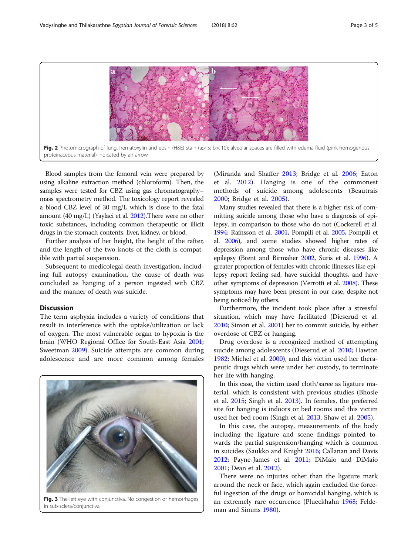<span id="page-2-0"></span>

Blood samples from the femoral vein were prepared by using alkaline extraction method (chloroform). Then, the samples were tested for CBZ using gas chromatography– mass spectrometry method. The toxicology report revealed a blood CBZ level of 30 mg/L which is close to the fatal amount (40 mg/L) (Yaylaci et al. [2012\)](#page-4-0).There were no other toxic substances, including common therapeutic or illicit drugs in the stomach contents, liver, kidney, or blood.

Further analysis of her height, the height of the rafter, and the length of the two knots of the cloth is compatible with partial suspension.

Subsequent to medicolegal death investigation, including full autopsy examination, the cause of death was concluded as hanging of a person ingested with CBZ and the manner of death was suicide.

#### **Discussion**

The term asphyxia includes a variety of conditions that result in interference with the uptake/utilization or lack of oxygen. The most vulnerable organ to hypoxia is the brain (WHO Regional Office for South-East Asia [2001](#page-4-0); Sweetman [2009](#page-4-0)). Suicide attempts are common during adolescence and are more common among females



Fig. 3 The left eye with conjunctiva. No congestion or hemorrhages in sub-sclera/conjunctiva

(Miranda and Shaffer [2013](#page-4-0); Bridge et al. [2006;](#page-4-0) Eaton et al. [2012\)](#page-4-0). Hanging is one of the commonest methods of suicide among adolescents (Beautrais [2000;](#page-4-0) Bridge et al. [2005\)](#page-4-0).

Many studies revealed that there is a higher risk of committing suicide among those who have a diagnosis of epilepsy, in comparison to those who do not (Cockerell et al. [1994;](#page-4-0) Rafnsson et al. [2001](#page-4-0), Pompili et al. [2005,](#page-4-0) Pompili et al. [2006](#page-4-0)), and some studies showed higher rates of depression among those who have chronic diseases like epilepsy (Brent and Birmaher [2002](#page-4-0), Suris et al. [1996](#page-4-0)). A greater proportion of females with chronic illnesses like epilepsy report feeling sad, have suicidal thoughts, and have other symptoms of depression (Verrotti et al. [2008\)](#page-4-0). These symptoms may have been present in our case, despite not being noticed by others.

Furthermore, the incident took place after a stressful situation, which may have facilitated (Dieserud et al. [2010](#page-4-0); Simon et al. [2001\)](#page-4-0) her to commit suicide, by either overdose of CBZ or hanging.

Drug overdose is a recognized method of attempting suicide among adolescents (Dieserud et al. [2010](#page-4-0); Hawton [1982](#page-4-0); Michel et al. [2000](#page-4-0)), and this victim used her therapeutic drugs which were under her custody, to terminate her life with hanging.

In this case, the victim used cloth/saree as ligature material, which is consistent with previous studies (Bhosle et al. [2015;](#page-4-0) Singh et al. [2013\)](#page-4-0). In females, the preferred site for hanging is indoors or bed rooms and this victim used her bed room (Singh et al. [2013,](#page-4-0) Shaw et al. [2005](#page-4-0)).

In this case, the autopsy, measurements of the body including the ligature and scene findings pointed towards the partial suspension/hanging which is common in suicides (Saukko and Knight [2016;](#page-4-0) Callanan and Davis [2012](#page-4-0); Payne-James et al. [2011](#page-4-0); DiMaio and DiMaio [2001](#page-4-0); Dean et al. [2012\)](#page-4-0).

There were no injuries other than the ligature mark around the neck or face, which again excluded the forceful ingestion of the drugs or homicidal hanging, which is an extremely rare occurrence (Plueckhahn [1968](#page-4-0); Feldeman and Simms [1980\)](#page-4-0).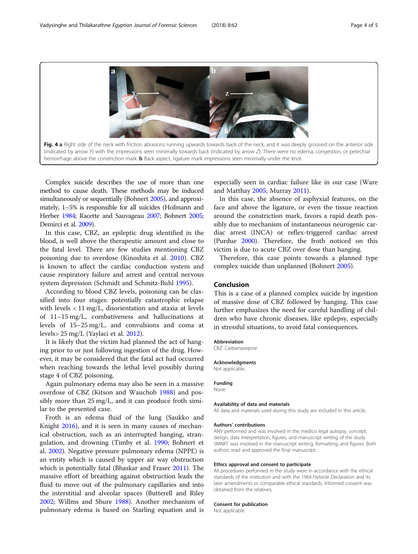<span id="page-3-0"></span>

Complex suicide describes the use of more than one method to cause death. These methods may be induced simultaneously or sequentially (Bohnert [2005\)](#page-4-0), and approximately, 1–5% is responsible for all suicides (Hofmann and Herber [1984](#page-4-0); Racette and Sauvageau [2007;](#page-4-0) Bohnert [2005](#page-4-0); Demirci et al. [2009\)](#page-4-0).

In this case, CBZ, an epileptic drug identified in the blood, is well above the therapeutic amount and close to the fatal level. There are few studies mentioning CBZ poisoning due to overdose (Kinoshita et al. [2010](#page-4-0)). CBZ is known to affect the cardiac conduction system and cause respiratory failure and arrest and central nervous system depression (Schmidt and Schmitz-Buhl [1995](#page-4-0)).

According to blood CBZ levels, poisoning can be classified into four stages: potentially catastrophic relapse with levels < 11 mg/L, disorientation and ataxia at levels of 11–15 mg/L, combativeness and hallucinations at levels of 15–25 mg/L, and convulsions and coma at levels> 25 mg/L (Yaylaci et al. [2012\)](#page-4-0).

It is likely that the victim had planned the act of hanging prior to or just following ingestion of the drug. However, it may be considered that the fatal act had occurred when reaching towards the lethal level possibly during stage 4 of CBZ poisoning.

Again pulmonary edema may also be seen in a massive overdose of CBZ (Kitson and Wauchob [1988\)](#page-4-0) and possibly more than 25 mg/L, and it can produce froth similar to the presented case.

Froth is an edema fluid of the lung (Saukko and Knight [2016\)](#page-4-0), and it is seen in many causes of mechanical obstruction, such as an interrupted hanging, strangulation, and drowning (Timby et al. [1990;](#page-4-0) Bohnert et al. [2002\)](#page-4-0). Negative pressure pulmonary edema (NPPE) is an entity which is caused by upper air way obstruction which is potentially fatal (Bhaskar and Fraser [2011\)](#page-4-0). The massive effort of breathing against obstruction leads the fluid to move out of the pulmonary capillaries and into the interstitial and alveolar spaces (Butterell and Riley [2002](#page-4-0); Willms and Shure [1988\)](#page-4-0). Another mechanism of pulmonary edema is based on Starling equation and is especially seen in cardiac failure like in our case (Ware and Matthay [2005](#page-4-0); Murray [2011](#page-4-0)).

In this case, the absence of asphyxial features, on the face and above the ligature, or even the tissue reaction around the constriction mark, favors a rapid death possibly due to mechanism of instantaneous neurogenic cardiac arrest (INCA) or reflex-triggered cardiac arrest (Purdue [2000](#page-4-0)). Therefore, the froth noticed on this victim is due to acute CBZ over dose than hanging.

Therefore, this case points towards a planned type complex suicide than unplanned (Bohnert [2005\)](#page-4-0).

### Conclusion

This is a case of a planned complex suicide by ingestion of massive dose of CBZ followed by hanging. This case further emphasizes the need for careful handling of children who have chronic diseases, like epilepsy, especially in stressful situations, to avoid fatal consequences.

#### Abbreviation

CBZ: Carbamazepine

#### Acknowledgments

Not applicable.

#### Funding None.

#### Availability of data and materials

All data and materials used during this study are included in this article.

#### Authors' contributions

ANV performed and was involved in the medico legal autopsy, concept, design, data interpretation, figures, and manuscript writing of the study. SMNKT was involved in the manuscript writing, formatting, and figures. Both authors read and approved the final manuscript.

#### Ethics approval and consent to participate

All procedures performed in the study were in accordance with the ethical standards of the institution and with the 1964 Helsinki Declaration and its later amendments or comparable ethical standards. Informed consent was obtained from the relatives.

#### Consent for publication

Not applicable.